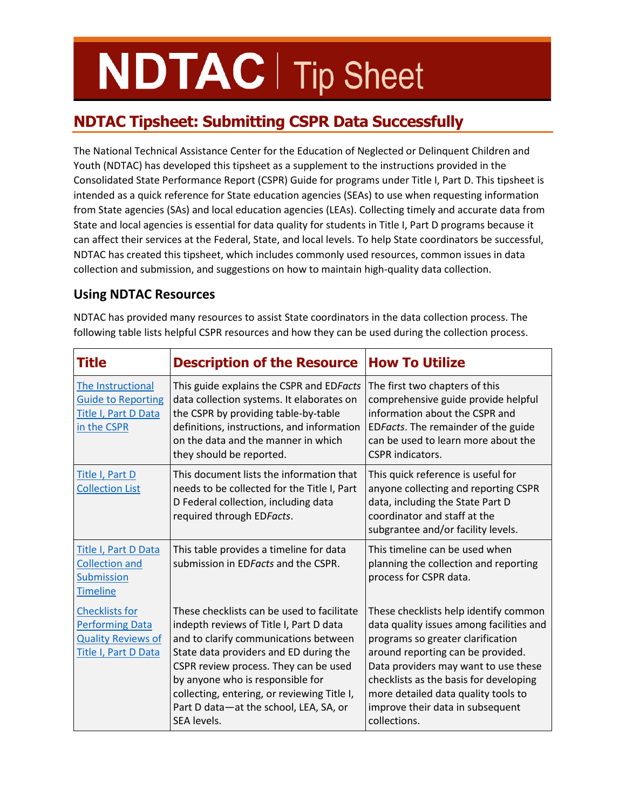# **NDTAC** | Tip Sheet

# **NDTAC Tipsheet: Submitting CSPR Data Successfully**

The National Technical Assistance Center for the Education of Neglected or Delinquent Children and Youth (NDTAC) has developed this tipsheet as a supplement to the instructions provided in the Consolidated State Performance Report (CSPR) Guide for programs under Title I, Part D. This tipsheet is intended as a quick reference for State education agencies (SEAs) to use when requesting information from State agencies (SAs) and local education agencies (LEAs). Collecting timely and accurate data from State and local agencies is essential for data quality for students in Title I, Part D programs because it can affect their services at the Federal, State, and local levels. To help State coordinators be successful, NDTAC has created this tipsheet, which includes commonly used resources, common issues in data collection and submission, and suggestions on how to maintain high-quality data collection.

# **Using NDTAC Resources**

| Title                                                                                                | <b>Description of the Resource</b>                                                                                                                                                                                                                                                                                                                            | <b>How To Utilize</b>                                                                                                                                                                                                                                                                                                                    |
|------------------------------------------------------------------------------------------------------|---------------------------------------------------------------------------------------------------------------------------------------------------------------------------------------------------------------------------------------------------------------------------------------------------------------------------------------------------------------|------------------------------------------------------------------------------------------------------------------------------------------------------------------------------------------------------------------------------------------------------------------------------------------------------------------------------------------|
| The Instructional<br><b>Guide to Reporting</b><br>Title I, Part D Data<br>in the CSPR                | This guide explains the CSPR and EDFacts<br>data collection systems. It elaborates on<br>the CSPR by providing table-by-table<br>definitions, instructions, and information<br>on the data and the manner in which<br>they should be reported.                                                                                                                | The first two chapters of this<br>comprehensive guide provide helpful<br>information about the CSPR and<br>EDFacts. The remainder of the guide<br>can be used to learn more about the<br><b>CSPR</b> indicators.                                                                                                                         |
| Title I, Part D<br><b>Collection List</b>                                                            | This document lists the information that<br>needs to be collected for the Title I, Part<br>D Federal collection, including data<br>required through EDFacts.                                                                                                                                                                                                  | This quick reference is useful for<br>anyone collecting and reporting CSPR<br>data, including the State Part D<br>coordinator and staff at the<br>subgrantee and/or facility levels.                                                                                                                                                     |
| Title I, Part D Data<br><b>Collection and</b><br><b>Submission</b><br><b>Timeline</b>                | This table provides a timeline for data<br>submission in EDFacts and the CSPR.                                                                                                                                                                                                                                                                                | This timeline can be used when<br>planning the collection and reporting<br>process for CSPR data.                                                                                                                                                                                                                                        |
| <b>Checklists for</b><br><b>Performing Data</b><br><b>Quality Reviews of</b><br>Title I, Part D Data | These checklists can be used to facilitate<br>indepth reviews of Title I, Part D data<br>and to clarify communications between<br>State data providers and ED during the<br>CSPR review process. They can be used<br>by anyone who is responsible for<br>collecting, entering, or reviewing Title I,<br>Part D data-at the school, LEA, SA, or<br>SEA levels. | These checklists help identify common<br>data quality issues among facilities and<br>programs so greater clarification<br>around reporting can be provided.<br>Data providers may want to use these<br>checklists as the basis for developing<br>more detailed data quality tools to<br>improve their data in subsequent<br>collections. |

NDTAC has provided many resources to assist State coordinators in the data collection process. The following table lists helpful CSPR resources and how they can be used during the collection process.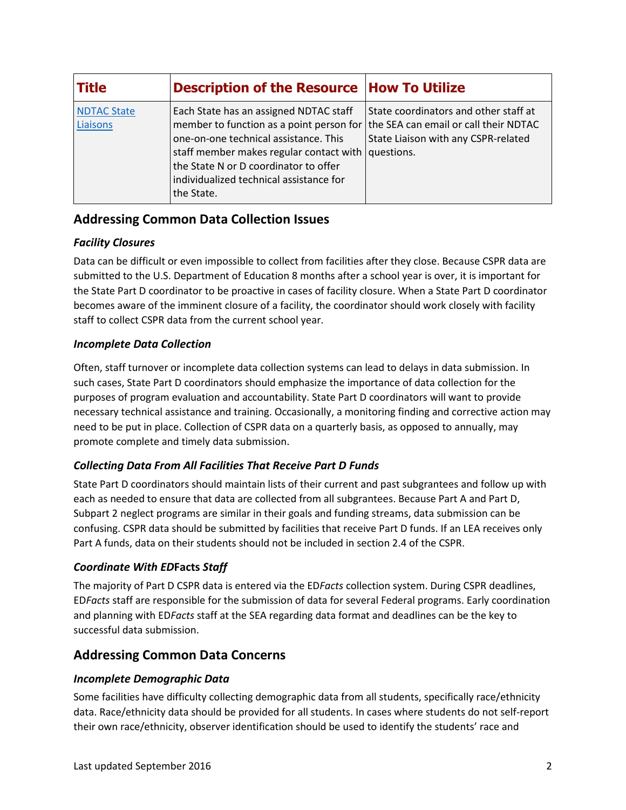| <b>Title</b>                   | <b>Description of the Resource How To Utilize</b>                                                                                                                                                                                                                                                                         |                                                                              |
|--------------------------------|---------------------------------------------------------------------------------------------------------------------------------------------------------------------------------------------------------------------------------------------------------------------------------------------------------------------------|------------------------------------------------------------------------------|
| <b>NDTAC State</b><br>Liaisons | Each State has an assigned NDTAC staff<br>member to function as a point person for the SEA can email or call their NDTAC<br>one-on-one technical assistance. This<br>staff member makes regular contact with questions.<br>the State N or D coordinator to offer<br>individualized technical assistance for<br>the State. | State coordinators and other staff at<br>State Liaison with any CSPR-related |

# **Addressing Common Data Collection Issues**

# *Facility Closures*

Data can be difficult or even impossible to collect from facilities after they close. Because CSPR data are submitted to the U.S. Department of Education 8 months after a school year is over, it is important for the State Part D coordinator to be proactive in cases of facility closure. When a State Part D coordinator becomes aware of the imminent closure of a facility, the coordinator should work closely with facility staff to collect CSPR data from the current school year.

# *Incomplete Data Collection*

Often, staff turnover or incomplete data collection systems can lead to delays in data submission. In such cases, State Part D coordinators should emphasize the importance of data collection for the purposes of program evaluation and accountability. State Part D coordinators will want to provide necessary technical assistance and training. Occasionally, a monitoring finding and corrective action may need to be put in place. Collection of CSPR data on a quarterly basis, as opposed to annually, may promote complete and timely data submission.

# *Collecting Data From All Facilities That Receive Part D Funds*

State Part D coordinators should maintain lists of their current and past subgrantees and follow up with each as needed to ensure that data are collected from all subgrantees. Because Part A and Part D, Subpart 2 neglect programs are similar in their goals and funding streams, data submission can be confusing. CSPR data should be submitted by facilities that receive Part D funds. If an LEA receives only Part A funds, data on their students should not be included in section 2.4 of the CSPR.

# *Coordinate With ED***Facts** *Staff*

The majority of Part D CSPR data is entered via the ED*Facts* collection system. During CSPR deadlines, ED*Facts* staff are responsible for the submission of data for several Federal programs. Early coordination and planning with ED*Facts* staff at the SEA regarding data format and deadlines can be the key to successful data submission.

# **Addressing Common Data Concerns**

# *Incomplete Demographic Data*

Some facilities have difficulty collecting demographic data from all students, specifically race/ethnicity data. Race/ethnicity data should be provided for all students. In cases where students do not self-report their own race/ethnicity, observer identification should be used to identify the students' race and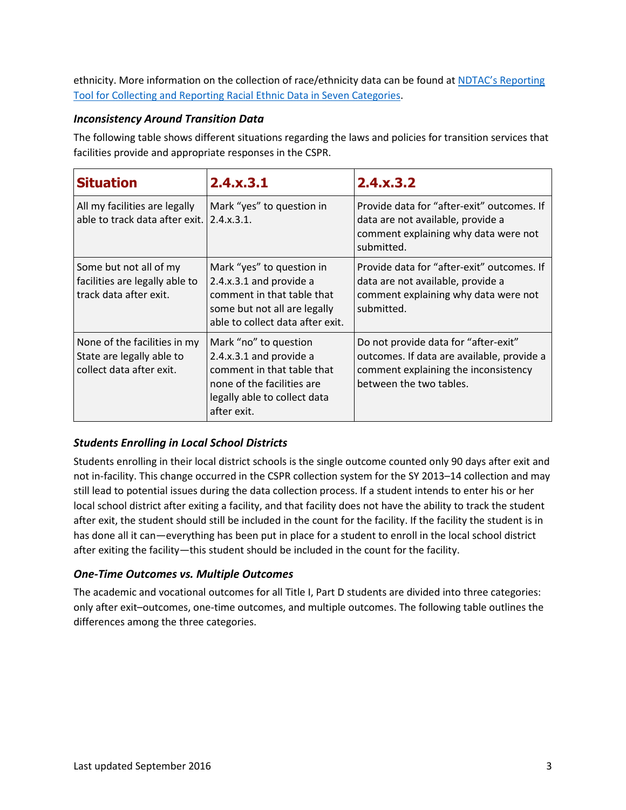ethnicity. More information on the collection of race/ethnicity data can be found at NDTAC's [Reporting](http://www.neglected-delinquent.org/sites/default/files/NDTAC_ReportingTool_RED.pdf) Tool for [Collecting and Reporting Racial Ethnic Data in Seven Categories.](http://www.neglected-delinquent.org/sites/default/files/NDTAC_ReportingTool_RED.pdf)

#### *Inconsistency Around Transition Data*

The following table shows different situations regarding the laws and policies for transition services that facilities provide and appropriate responses in the CSPR.

| <b>Situation</b>                                                                      | 2.4.x.3.1                                                                                                                                                   | 2.4.x.3.2                                                                                                                                             |  |
|---------------------------------------------------------------------------------------|-------------------------------------------------------------------------------------------------------------------------------------------------------------|-------------------------------------------------------------------------------------------------------------------------------------------------------|--|
| All my facilities are legally<br>able to track data after exit.                       | Mark "yes" to question in<br>2.4.x.3.1.                                                                                                                     | Provide data for "after-exit" outcomes. If<br>data are not available, provide a<br>comment explaining why data were not<br>submitted.                 |  |
| Some but not all of my<br>facilities are legally able to<br>track data after exit.    | Mark "yes" to question in<br>2.4.x.3.1 and provide a<br>comment in that table that<br>some but not all are legally<br>able to collect data after exit.      | Provide data for "after-exit" outcomes. If<br>data are not available, provide a<br>comment explaining why data were not<br>submitted.                 |  |
| None of the facilities in my<br>State are legally able to<br>collect data after exit. | Mark "no" to question<br>2.4.x.3.1 and provide a<br>comment in that table that<br>none of the facilities are<br>legally able to collect data<br>after exit. | Do not provide data for "after-exit"<br>outcomes. If data are available, provide a<br>comment explaining the inconsistency<br>between the two tables. |  |

# *Students Enrolling in Local School Districts*

Students enrolling in their local district schools is the single outcome counted only 90 days after exit and not in-facility. This change occurred in the CSPR collection system for the SY 2013–14 collection and may still lead to potential issues during the data collection process. If a student intends to enter his or her local school district after exiting a facility, and that facility does not have the ability to track the student after exit, the student should still be included in the count for the facility. If the facility the student is in has done all it can—everything has been put in place for a student to enroll in the local school district after exiting the facility—this student should be included in the count for the facility.

#### *One-Time Outcomes vs. Multiple Outcomes*

The academic and vocational outcomes for all Title I, Part D students are divided into three categories: only after exit–outcomes, one-time outcomes, and multiple outcomes. The following table outlines the differences among the three categories.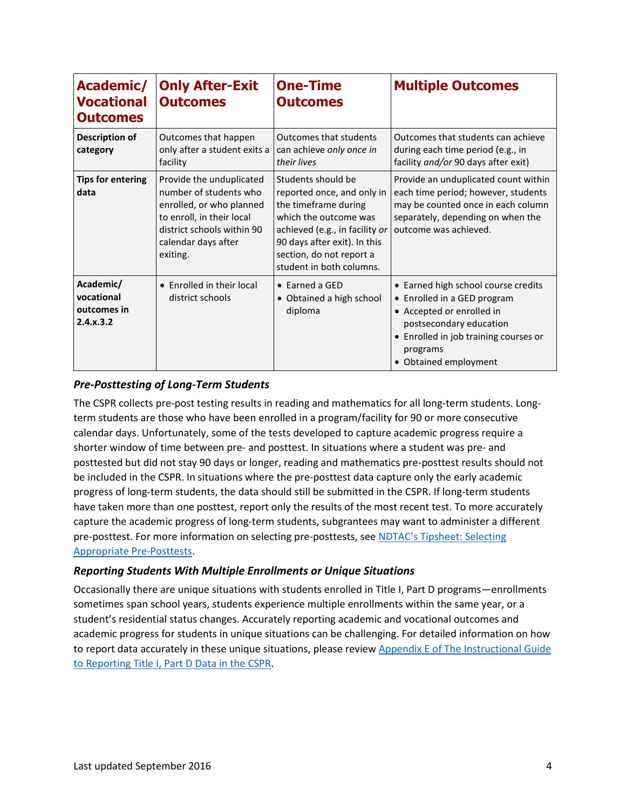| Academic/<br>Vocational<br><b>Outcomes</b>          | <b>Only After-Exit</b><br><b>Outcomes</b>                                                                                                                                    | <b>One-Time</b><br><b>Outcomes</b>                                                                                                                                                                                          | <b>Multiple Outcomes</b>                                                                                                                                                                                 |
|-----------------------------------------------------|------------------------------------------------------------------------------------------------------------------------------------------------------------------------------|-----------------------------------------------------------------------------------------------------------------------------------------------------------------------------------------------------------------------------|----------------------------------------------------------------------------------------------------------------------------------------------------------------------------------------------------------|
| <b>Description of</b><br>category                   | Outcomes that happen<br>only after a student exits a<br>facility                                                                                                             | <b>Outcomes that students</b><br>can achieve only once in<br>their lives                                                                                                                                                    | Outcomes that students can achieve<br>during each time period (e.g., in<br>facility and/or 90 days after exit)                                                                                           |
| <b>Tips for entering</b><br>data                    | Provide the unduplicated<br>number of students who<br>enrolled, or who planned<br>to enroll, in their local<br>district schools within 90<br>calendar days after<br>exiting. | Students should be<br>reported once, and only in<br>the timeframe during<br>which the outcome was<br>achieved (e.g., in facility or<br>90 days after exit). In this<br>section, do not report a<br>student in both columns. | Provide an unduplicated count within<br>each time period; however, students<br>may be counted once in each column<br>separately, depending on when the<br>outcome was achieved.                          |
| Academic/<br>vocational<br>outcomes in<br>2.4.x.3.2 | • Enrolled in their local<br>district schools                                                                                                                                | $\bullet$ Earned a GED<br>• Obtained a high school<br>diploma                                                                                                                                                               | • Earned high school course credits<br>• Enrolled in a GED program<br>• Accepted or enrolled in<br>postsecondary education<br>• Enrolled in job training courses or<br>programs<br>• Obtained employment |

#### *Pre-Posttesting of Long-Term Students*

The CSPR collects pre-post testing results in reading and mathematics for all long-term students. Longterm students are those who have been enrolled in a program/facility for 90 or more consecutive calendar days. Unfortunately, some of the tests developed to capture academic progress require a shorter window of time between pre- and posttest. In situations where a student was pre- and posttested but did not stay 90 days or longer, reading and mathematics pre-posttest results should not be included in the CSPR. In situations where the pre-posttest data capture only the early academic progress of long-term students, the data should still be submitted in the CSPR. If long-term students have taken more than one posttest, report only the results of the most recent test. To more accurately capture the academic progress of long-term students, subgrantees may want to administer a different pre-posttest. For more information on selecting pre-posttests, see [NDTAC's Tipsheet: Selecting](http://www.neglected-delinquent.org/resource/ndtac-tip-sheet-selecting-appropriate-pre-posttests)  [Appropriate Pre-Posttests.](http://www.neglected-delinquent.org/resource/ndtac-tip-sheet-selecting-appropriate-pre-posttests)

#### *Reporting Students With Multiple Enrollments or Unique Situations*

Occasionally there are unique situations with students enrolled in Title I, Part D programs—enrollments sometimes span school years, students experience multiple enrollments within the same year, or a student's residential status changes. Accurately reporting academic and vocational outcomes and academic progress for students in unique situations can be challenging. For detailed information on how to report data accurately in these unique situations, please revie[w Appendix E of The Instructional Guide](http://www.neglected-delinquent.org/resource/instructional-guide-reporting-title-i-part-d-data-cspr-sy-2015%E2%80%9316)  [to Reporting Title I, Part D Data in the CSPR.](http://www.neglected-delinquent.org/resource/instructional-guide-reporting-title-i-part-d-data-cspr-sy-2015%E2%80%9316)